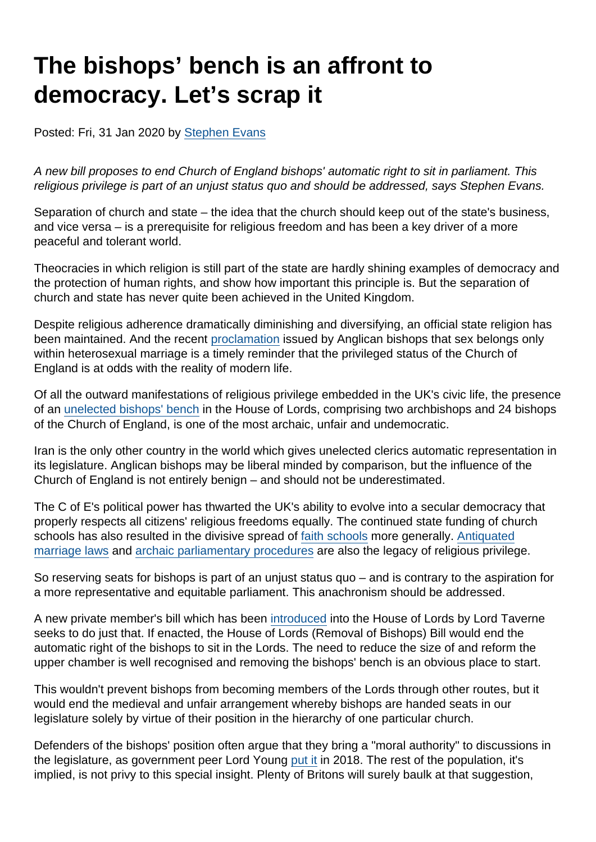# The bishops' bench is an affront to democracy. Let's scrap it

Posted: Fri, 31 Jan 2020 by [Stephen Evans](https://www.secularism.org.uk/opinion/authors/845)

A new bill proposes to end Church of England bishops' automatic right to sit in parliament. This religious privilege is part of an unjust status quo and should be addressed, says Stephen Evans.

Separation of church and state – the idea that the church should keep out of the state's business, and vice versa – is a prerequisite for religious freedom and has been a key driver of a more peaceful and tolerant world.

Theocracies in which religion is still part of the state are hardly shining examples of democracy and the protection of human rights, and show how important this principle is. But the separation of church and state has never quite been achieved in the United Kingdom.

Despite religious adherence dramatically diminishing and diversifying, an official state religion has been maintained. And the recent [proclamation](https://www.theguardian.com/world/2020/jan/27/church-of-england-stance-on-sex-and-marriage-is-staggeringly-stupid) issued by Anglican bishops that sex belongs only within heterosexual marriage is a timely reminder that the privileged status of the Church of England is at odds with the reality of modern life.

Of all the outward manifestations of religious privilege embedded in the UK's civic life, the presence of an [unelected bishops' bench](https://www.secularism.org.uk/scrap-bishops-bench/) in the House of Lords, comprising two archbishops and 24 bishops of the Church of England, is one of the most archaic, unfair and undemocratic.

Iran is the only other country in the world which gives unelected clerics automatic representation in its legislature. Anglican bishops may be liberal minded by comparison, but the influence of the Church of England is not entirely benign – and should not be underestimated.

The C of E's political power has thwarted the UK's ability to evolve into a secular democracy that properly respects all citizens' religious freedoms equally. The continued state funding of church schools has also resulted in the divisive spread of [faith schools](https://www.nomorefaithschools.org/) more generally. [Antiquated](https://www.secularism.org.uk/marriage-equality/) [marriage laws](https://www.secularism.org.uk/marriage-equality/) and [archaic parliamentary procedures](https://www.secularism.org.uk/end-government-prayers/) are also the legacy of religious privilege.

So reserving seats for bishops is part of an unjust status quo – and is contrary to the aspiration for a more representative and equitable parliament. This anachronism should be addressed.

A new private member's bill which has been [introduced](https://www.secularism.org.uk/news/2020/01/bill-to-end-bishops-automatic-right-to-sit-in-lords-introduced) into the House of Lords by Lord Taverne seeks to do just that. If enacted, the House of Lords (Removal of Bishops) Bill would end the automatic right of the bishops to sit in the Lords. The need to reduce the size of and reform the upper chamber is well recognised and removing the bishops' bench is an obvious place to start.

This wouldn't prevent bishops from becoming members of the Lords through other routes, but it would end the medieval and unfair arrangement whereby bishops are handed seats in our legislature solely by virtue of their position in the hierarchy of one particular church.

Defenders of the bishops' position often argue that they bring a "moral authority" to discussions in the legislature, as government peer Lord Young [put it](https://www.secularism.org.uk/news/2018/11/labour-peer-raises-case-for-disestablishment-in-lords) in 2018. The rest of the population, it's implied, is not privy to this special insight. Plenty of Britons will surely baulk at that suggestion,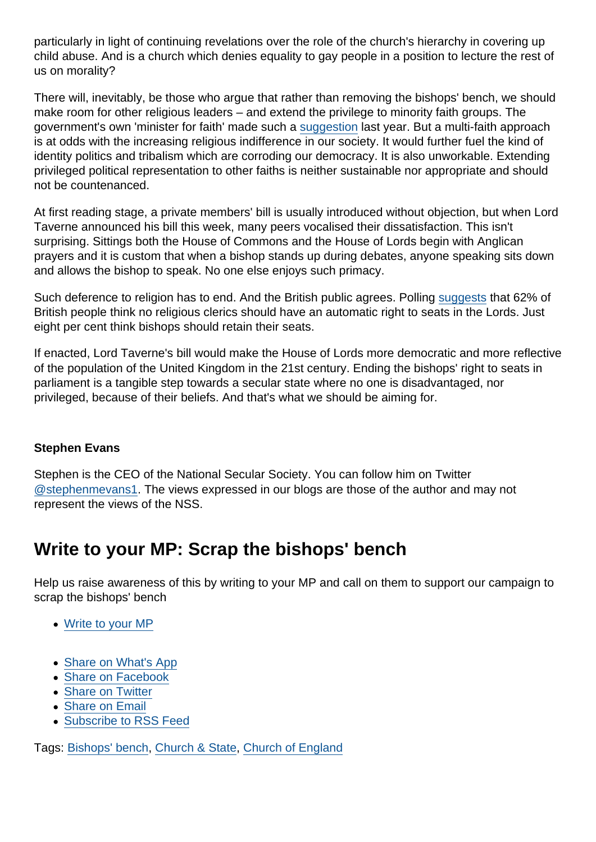particularly in light of continuing revelations over the role of the church's hierarchy in covering up child abuse. And is a church which denies equality to gay people in a position to lecture the rest of us on morality?

There will, inevitably, be those who argue that rather than removing the bishops' bench, we should make room for other religious leaders – and extend the privilege to minority faith groups. The government's own 'minister for faith' made such a [suggestion](https://www.thetimes.co.uk/edition/news/call-for-nonchristian-faith-leaders-to-sit-in-lords-6ff3t2nxx) last year. But a multi-faith approach is at odds with the increasing religious indifference in our society. It would further fuel the kind of identity politics and tribalism which are corroding our democracy. It is also unworkable. Extending privileged political representation to other faiths is neither sustainable nor appropriate and should not be countenanced.

At first reading stage, a private members' bill is usually introduced without objection, but when Lord Taverne announced his bill this week, many peers vocalised their dissatisfaction. This isn't surprising. Sittings both the House of Commons and the House of Lords begin with Anglican prayers and it is custom that when a bishop stands up during debates, anyone speaking sits down and allows the bishop to speak. No one else enjoys such primacy.

Such deference to religion has to end. And the British public agrees. Polling [suggests](https://www.thetimes.co.uk/edition/news/public-want-religion-kept-out-of-politics-t3rk055cx) that 62% of British people think no religious clerics should have an automatic right to seats in the Lords. Just eight per cent think bishops should retain their seats.

If enacted, Lord Taverne's bill would make the House of Lords more democratic and more reflective of the population of the United Kingdom in the 21st century. Ending the bishops' right to seats in parliament is a tangible step towards a secular state where no one is disadvantaged, nor privileged, because of their beliefs. And that's what we should be aiming for.

#### Stephen Evans

Stephen is the CEO of the National Secular Society. You can follow him on Twitter [@stephenmevans1.](https://twitter.com/stephenmevans1?lang=en-gb) The views expressed in our blogs are those of the author and may not represent the views of the NSS.

### Write to your MP: Scrap the bishops' bench

Help us raise awareness of this by writing to your MP and call on them to support our campaign to scrap the bishops' bench

- [Write to your MP](https://www.secularism.org.uk/mp-letter-bishops-bench.html)
- [Share on What's App](whatsapp://send?text=http://www.secularism.org.uk/opinion/2020/01/the-bishops-bench-is-an-affront-to-democracy-lets-scrap-it?format=pdf)
- [Share on Facebook](https://www.facebook.com/sharer/sharer.php?u=http://www.secularism.org.uk/opinion/2020/01/the-bishops-bench-is-an-affront-to-democracy-lets-scrap-it?format=pdf&t=The+bishops’+bench+is+an+affront+to+democracy.+Let’s+scrap+it)
- [Share on Twitter](https://twitter.com/intent/tweet?url=http://www.secularism.org.uk/opinion/2020/01/the-bishops-bench-is-an-affront-to-democracy-lets-scrap-it?format=pdf&text=The+bishops’+bench+is+an+affront+to+democracy.+Let’s+scrap+it&via=NatSecSoc)
- [Share on Email](https://www.secularism.org.uk/share.html?url=http://www.secularism.org.uk/opinion/2020/01/the-bishops-bench-is-an-affront-to-democracy-lets-scrap-it?format=pdf&title=The+bishops’+bench+is+an+affront+to+democracy.+Let’s+scrap+it)
- [Subscribe to RSS Feed](/mnt/web-data/www/cp-nss/feeds/rss/news)

Tags: [Bishops' bench](https://www.secularism.org.uk/opinion/tags/Bishops), [Church & State](https://www.secularism.org.uk/opinion/tags/Church+&+State), [Church of England](https://www.secularism.org.uk/opinion/tags/Church+of+England)